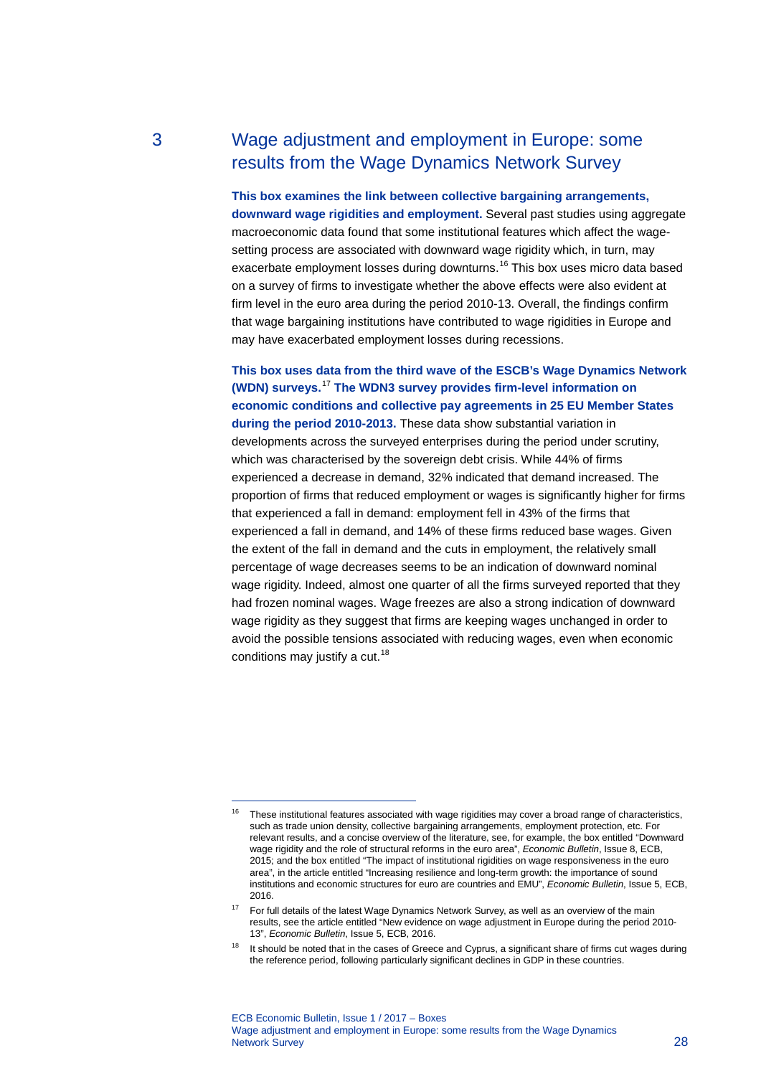# 3 Wage adjustment and employment in Europe: some results from the Wage Dynamics Network Survey

**This box examines the link between collective bargaining arrangements, downward wage rigidities and employment.** Several past studies using aggregate macroeconomic data found that some institutional features which affect the wagesetting process are associated with downward wage rigidity which, in turn, may exacerbate employment losses during downturns.<sup>[16](#page-0-0)</sup> This box uses micro data based on a survey of firms to investigate whether the above effects were also evident at firm level in the euro area during the period 2010-13. Overall, the findings confirm that wage bargaining institutions have contributed to wage rigidities in Europe and may have exacerbated employment losses during recessions.

**This box uses data from the third wave of the ESCB's Wage Dynamics Network (WDN) surveys.** [17](#page-0-1) **The WDN3 survey provides firm-level information on economic conditions and collective pay agreements in 25 EU Member States during the period 2010-2013.** These data show substantial variation in developments across the surveyed enterprises during the period under scrutiny, which was characterised by the sovereign debt crisis. While 44% of firms experienced a decrease in demand, 32% indicated that demand increased. The proportion of firms that reduced employment or wages is significantly higher for firms that experienced a fall in demand: employment fell in 43% of the firms that experienced a fall in demand, and 14% of these firms reduced base wages. Given the extent of the fall in demand and the cuts in employment, the relatively small percentage of wage decreases seems to be an indication of downward nominal wage rigidity. Indeed, almost one quarter of all the firms surveyed reported that they had frozen nominal wages. Wage freezes are also a strong indication of downward wage rigidity as they suggest that firms are keeping wages unchanged in order to avoid the possible tensions associated with reducing wages, even when economic conditions may justify a cut.<sup>[18](#page-0-2)</sup>

-

<span id="page-0-0"></span><sup>&</sup>lt;sup>16</sup> These institutional features associated with wage rigidities may cover a broad range of characteristics, such as trade union density, collective bargaining arrangements, employment protection, etc. For relevant results, and a concise overview of the literature, see, for example, the box entitled "Downward wage rigidity and the role of structural reforms in the euro area", *Economic Bulletin*, Issue 8, ECB, 2015; and the box entitled "The impact of institutional rigidities on wage responsiveness in the euro area", in the article entitled "Increasing resilience and long-term growth: the importance of sound institutions and economic structures for euro are countries and EMU", *Economic Bulletin*, Issue 5, ECB, 2016.

<span id="page-0-1"></span><sup>&</sup>lt;sup>17</sup> For full details of the latest Wage Dynamics Network Survey, as well as an overview of the main results, see the article entitled "New evidence on wage adjustment in Europe during the period 2010- 13", *Economic Bulletin*, Issue 5, ECB, 2016.

<span id="page-0-2"></span> $18$  It should be noted that in the cases of Greece and Cyprus, a significant share of firms cut wages during the reference period, following particularly significant declines in GDP in these countries.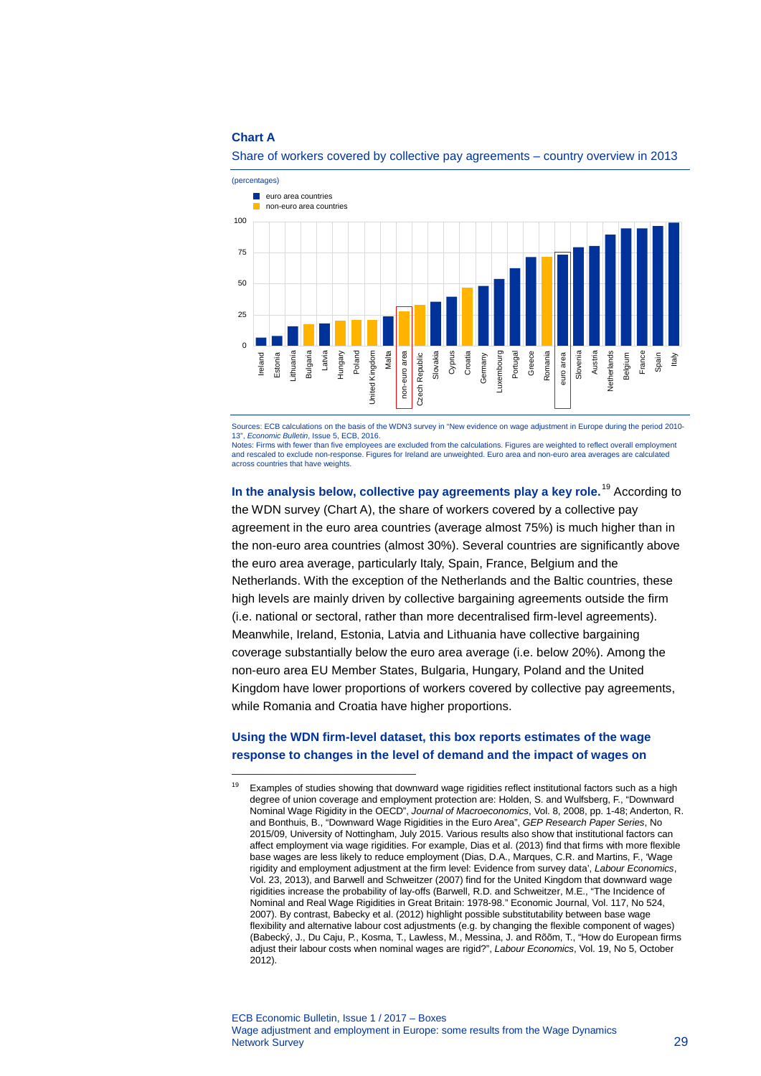### **Chart A**

-



### Share of workers covered by collective pay agreements – country overview in 2013

Sources: ECB calculations on the basis of the WDN3 survey in "New evidence on wage adjustment in Europe during the period 2010- 13", *Economic Bulletin*, Issue 5, ECB, 2016. Notes: Firms with fewer than five employees are excluded from the calculations. Figures are weighted to reflect overall employment and rescaled to exclude non-response. Figures for Ireland are unweighted. Euro area and non-euro area averages are calculated across countries that have weights.

**In the analysis below, collective pay agreements play a key role.**[19](#page-1-0) According to the WDN survey (Chart A), the share of workers covered by a collective pay agreement in the euro area countries (average almost 75%) is much higher than in the non-euro area countries (almost 30%). Several countries are significantly above the euro area average, particularly Italy, Spain, France, Belgium and the Netherlands. With the exception of the Netherlands and the Baltic countries, these high levels are mainly driven by collective bargaining agreements outside the firm (i.e. national or sectoral, rather than more decentralised firm-level agreements). Meanwhile, Ireland, Estonia, Latvia and Lithuania have collective bargaining coverage substantially below the euro area average (i.e. below 20%). Among the non-euro area EU Member States, Bulgaria, Hungary, Poland and the United Kingdom have lower proportions of workers covered by collective pay agreements, while Romania and Croatia have higher proportions.

## **Using the WDN firm-level dataset, this box reports estimates of the wage response to changes in the level of demand and the impact of wages on**

<span id="page-1-0"></span><sup>&</sup>lt;sup>19</sup> Examples of studies showing that downward wage rigidities reflect institutional factors such as a high degree of union coverage and employment protection are: Holden, S. and Wulfsberg, F., "Downward Nominal Wage Rigidity in the OECD", *Journal of Macroeconomics*, Vol. 8, 2008, pp. 1-48; Anderton, R. and Bonthuis, B., "Downward Wage Rigidities in the Euro Area", *GEP Research Paper Series*, No 2015/09, University of Nottingham, July 2015. Various results also show that institutional factors can affect employment via wage rigidities. For example, Dias et al. (2013) find that firms with more flexible base wages are less likely to reduce employment (Dias, D.A., Marques, C.R. and Martins, F., 'Wage rigidity and employment adjustment at the firm level: Evidence from survey data', *Labour Economics*, Vol. 23, 2013), and Barwell and Schweitzer (2007) find for the United Kingdom that downward wage rigidities increase the probability of lay-offs (Barwell, R.D. and Schweitzer, M.E., "The Incidence of Nominal and Real Wage Rigidities in Great Britain: 1978-98." Economic Journal, Vol. 117, No 524, 2007). By contrast, Babecky et al. (2012) highlight possible substitutability between base wage flexibility and alternative labour cost adjustments (e.g. by changing the flexible component of wages) (Babecký, J., Du Caju, P., Kosma, T., Lawless, M., Messina, J. and Rõõm, T., "How do European firms adjust their labour costs when nominal wages are rigid?", *Labour Economics*, Vol. 19, No 5, October 2012).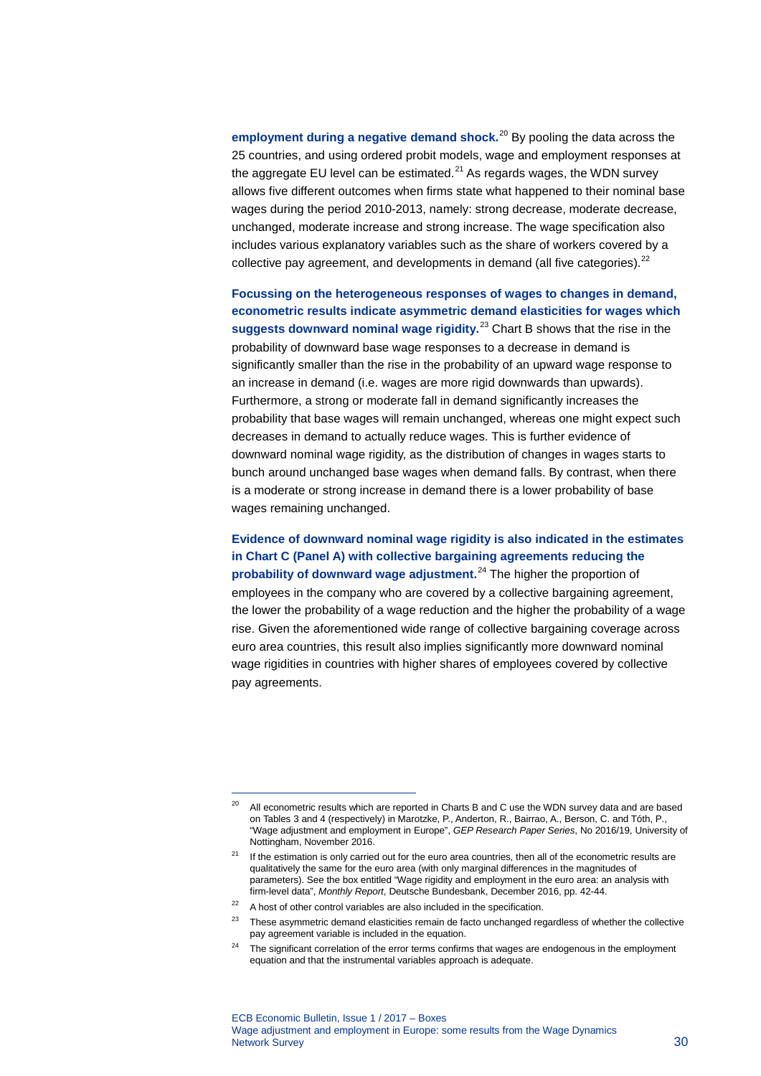**employment during a negative demand shock.**[20](#page-2-0) By pooling the data across the 25 countries, and using ordered probit models, wage and employment responses at the aggregate EU level can be estimated.<sup>[21](#page-2-1)</sup> As regards wages, the WDN survey allows five different outcomes when firms state what happened to their nominal base wages during the period 2010-2013, namely: strong decrease, moderate decrease, unchanged, moderate increase and strong increase. The wage specification also includes various explanatory variables such as the share of workers covered by a collective pay agreement, and developments in demand (all five categories).<sup>[22](#page-2-2)</sup>

**Focussing on the heterogeneous responses of wages to changes in demand, econometric results indicate asymmetric demand elasticities for wages which suggests downward nominal wage rigidity.** [23](#page-2-3) Chart B shows that the rise in the probability of downward base wage responses to a decrease in demand is significantly smaller than the rise in the probability of an upward wage response to an increase in demand (i.e. wages are more rigid downwards than upwards). Furthermore, a strong or moderate fall in demand significantly increases the probability that base wages will remain unchanged, whereas one might expect such decreases in demand to actually reduce wages. This is further evidence of downward nominal wage rigidity, as the distribution of changes in wages starts to bunch around unchanged base wages when demand falls. By contrast, when there is a moderate or strong increase in demand there is a lower probability of base wages remaining unchanged.

**Evidence of downward nominal wage rigidity is also indicated in the estimates in Chart C (Panel A) with collective bargaining agreements reducing the probability of downward wage adjustment.**[24](#page-2-4) The higher the proportion of employees in the company who are covered by a collective bargaining agreement, the lower the probability of a wage reduction and the higher the probability of a wage rise. Given the aforementioned wide range of collective bargaining coverage across euro area countries, this result also implies significantly more downward nominal wage rigidities in countries with higher shares of employees covered by collective pay agreements.

-

<span id="page-2-0"></span><sup>&</sup>lt;sup>20</sup> All econometric results which are reported in Charts B and C use the WDN survey data and are based on Tables 3 and 4 (respectively) in Marotzke, P., Anderton, R., Bairrao, A., Berson, C. and Tóth, P., "Wage adjustment and employment in Europe", *GEP Research Paper Series*, No 2016/19, University of Nottingham, November 2016.

<span id="page-2-1"></span><sup>&</sup>lt;sup>21</sup> If the estimation is only carried out for the euro area countries, then all of the econometric results are qualitatively the same for the euro area (with only marginal differences in the magnitudes of parameters). See the box entitled "Wage rigidity and employment in the euro area: an analysis with firm-level data", *Monthly Report*, Deutsche Bundesbank, December 2016, pp. 42-44.

<span id="page-2-2"></span> $22$  A host of other control variables are also included in the specification.

<span id="page-2-3"></span><sup>&</sup>lt;sup>23</sup> These asymmetric demand elasticities remain de facto unchanged regardless of whether the collective pay agreement variable is included in the equation.

<span id="page-2-4"></span><sup>&</sup>lt;sup>24</sup> The significant correlation of the error terms confirms that wages are endogenous in the employment equation and that the instrumental variables approach is adequate.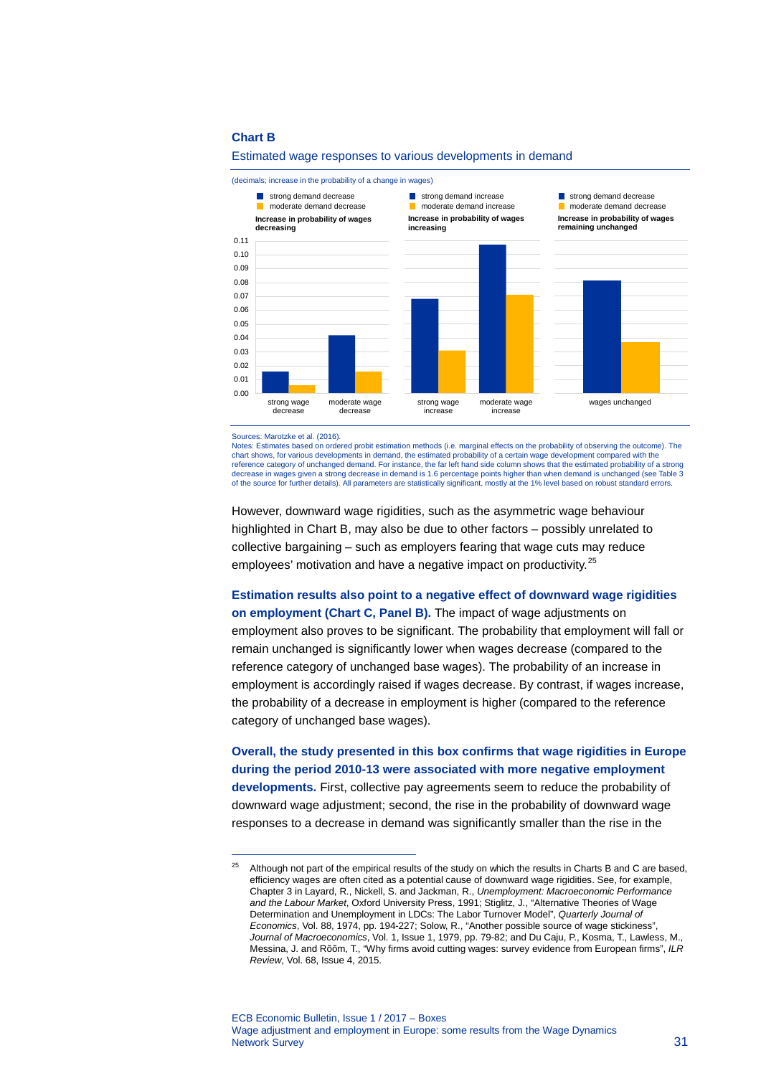#### **Chart B**



Estimated wage responses to various developments in demand

Sources: Marotzke et al. (2016).

-

Notes: Estimates based on ordered probit estimation methods (i.e. marginal effects on the probability of observing the outcome). The chart shows, for various developments in demand, the estimated probability of a certain wage development compared with the reference category of unchanged demand. For instance, the far left hand side column shows that the estimated probability of a strong decrease in wages given a strong decrease in demand is 1.6 percentage points higher than when demand is unchanged (see Table 3 of the source for further details). All parameters are statistically significant, mostly at the 1% level based on robust standard errors.

However, downward wage rigidities, such as the asymmetric wage behaviour highlighted in Chart B, may also be due to other factors – possibly unrelated to collective bargaining – such as employers fearing that wage cuts may reduce employees' motivation and have a negative impact on productivity.<sup>[25](#page-3-0)</sup>

**Estimation results also point to a negative effect of downward wage rigidities on employment (Chart C, Panel B).** The impact of wage adjustments on employment also proves to be significant. The probability that employment will fall or remain unchanged is significantly lower when wages decrease (compared to the reference category of unchanged base wages). The probability of an increase in employment is accordingly raised if wages decrease. By contrast, if wages increase, the probability of a decrease in employment is higher (compared to the reference category of unchanged base wages).

## **Overall, the study presented in this box confirms that wage rigidities in Europe during the period 2010-13 were associated with more negative employment developments.** First, collective pay agreements seem to reduce the probability of downward wage adjustment; second, the rise in the probability of downward wage responses to a decrease in demand was significantly smaller than the rise in the

<span id="page-3-0"></span> $25$  Although not part of the empirical results of the study on which the results in Charts B and C are based, efficiency wages are often cited as a potential cause of downward wage rigidities. See, for example, Chapter 3 in Layard, R., Nickell, S. and Jackman, R., *Unemployment: Macroeconomic Performance and the Labour Market*, Oxford University Press, 1991; Stiglitz, J., "Alternative Theories of Wage Determination and Unemployment in LDCs: The Labor Turnover Model", *Quarterly Journal of Economics*, Vol. 88, 1974, pp. 194-227; Solow, R., "Another possible source of wage stickiness", *Journal of Macroeconomics*, Vol. 1, Issue 1, 1979, pp. 79-82; and Du Caju, P., Kosma, T., Lawless, M., Messina, J. and Rõõm, T., "Why firms avoid cutting wages: survey evidence from European firms", *ILR Review*, Vol. 68, Issue 4, 2015.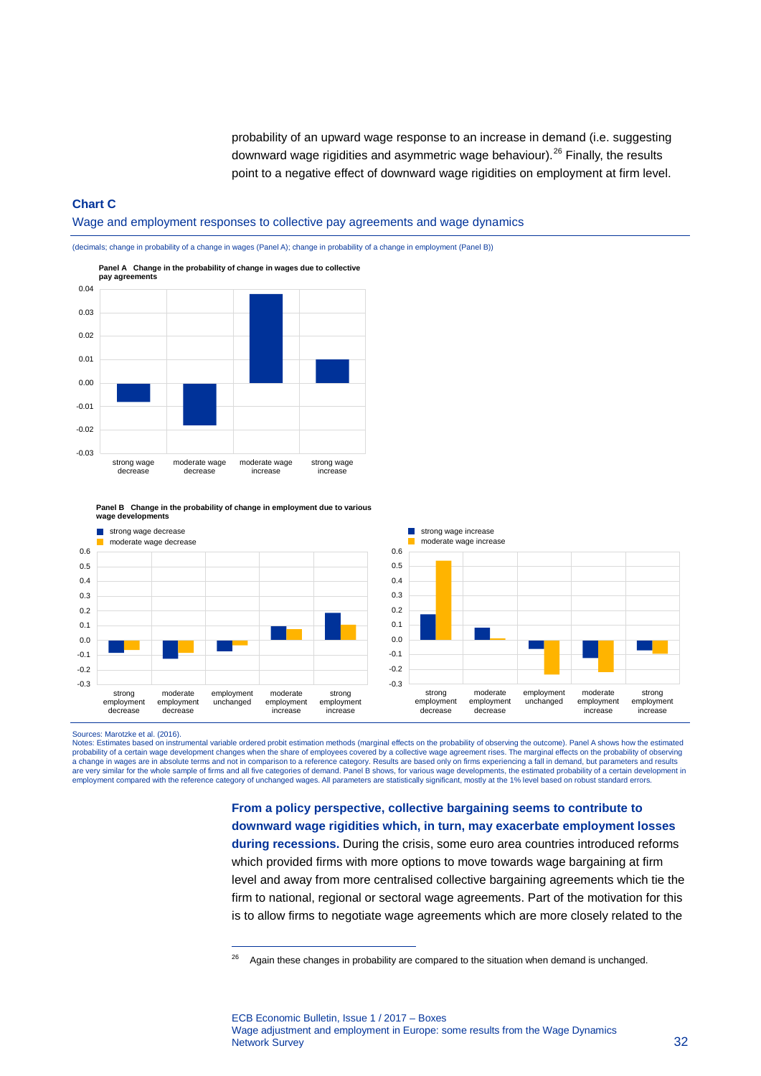probability of an upward wage response to an increase in demand (i.e. suggesting downward wage rigidities and asymmetric wage behaviour).<sup>[26](#page-4-0)</sup> Finally, the results point to a negative effect of downward wage rigidities on employment at firm level.

### **Chart C**

Wage and employment responses to collective pay agreements and wage dynamics

(decimals; change in probability of a change in wages (Panel A); change in probability of a change in employment (Panel B))

-0.03 -0.02 -0.01  $0.00$ 0.01 0.02 0.03 0.04 strong wage decrease moderate wage decrease moderate wage increase strong wage increase **Panel A Change in the probability of change in wages due to collective pay agreements**

**Panel B Change in the probability of change in employment due to various wage developments**

-



Sources: Marotzke et al. (2016).

<span id="page-4-0"></span>Notes: Estimates based on instrumental variable ordered probit estimation methods (marginal effects on the probability of observing the outcome). Panel A shows how the estimated probability of a certain wage development changes when the share of employees covered by a collective wage agreement rises. The marginal effects on the probability of observing<br>a change in wages are in absolute terms and n employment compared with the reference category of unchanged wages. All parameters are statistically significant, mostly at the 1% level based on robust standard errors.

> **From a policy perspective, collective bargaining seems to contribute to downward wage rigidities which, in turn, may exacerbate employment losses during recessions.** During the crisis, some euro area countries introduced reforms which provided firms with more options to move towards wage bargaining at firm level and away from more centralised collective bargaining agreements which tie the firm to national, regional or sectoral wage agreements. Part of the motivation for this is to allow firms to negotiate wage agreements which are more closely related to the

 $26$  Again these changes in probability are compared to the situation when demand is unchanged.